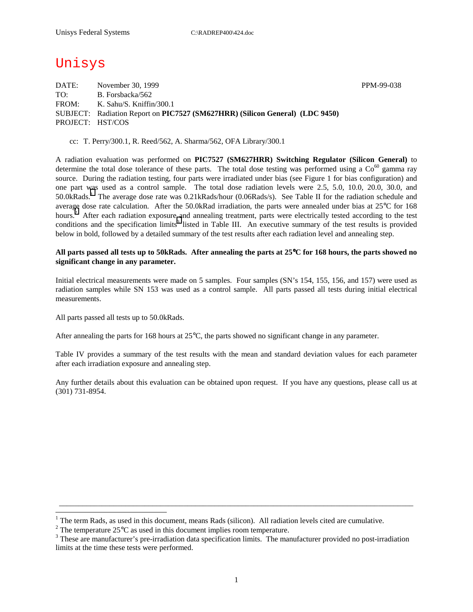# Unisys

DATE: November 30, 1999 November 30, 1999 TO: B. Forsbacka/562 FROM: K. Sahu/S. Kniffin/300.1 SUBJECT: Radiation Report on **PIC7527 (SM627HRR) (Silicon General) (LDC 9450)** PROJECT: HST/COS

cc: T. Perry/300.1, R. Reed/562, A. Sharma/562, OFA Library/300.1

A radiation evaluation was performed on **PIC7527 (SM627HRR) Switching Regulator (Silicon General)** to determine the total dose tolerance of these parts. The total dose testing was performed using a  $\text{Co}^{60}$  gamma ray source. During the radiation testing, four parts were irradiated under bias (see Figure 1 for bias configuration) and one part was used as a control sample. The total dose radiation levels were 2.5, 5.0, 10.0, 20.0, 30.0, and 50.0kRads.<sup>1</sup> The average dose rate was 0.21kRads/hour (0.06Rads/s). See Table II for the radiation schedule and average dose rate calculation. After the 50.0kRad irradiation, the parts were annealed under bias at 25°C for 168 hours.<sup>2</sup> After each radiation exposure and annealing treatment, parts were electrically tested according to the test conditions and the specification limits<sup>3</sup> listed in Table III. An executive summary of the test results is provided below in bold, followed by a detailed summary of the test results after each radiation level and annealing step.

#### **All parts passed all tests up to 50kRads. After annealing the parts at 25**°**C for 168 hours, the parts showed no significant change in any parameter.**

Initial electrical measurements were made on 5 samples. Four samples (SN's 154, 155, 156, and 157) were used as radiation samples while SN 153 was used as a control sample. All parts passed all tests during initial electrical measurements.

All parts passed all tests up to 50.0kRads.

 $\overline{a}$ 

After annealing the parts for 168 hours at 25°C, the parts showed no significant change in any parameter.

Table IV provides a summary of the test results with the mean and standard deviation values for each parameter after each irradiation exposure and annealing step.

Any further details about this evaluation can be obtained upon request. If you have any questions, please call us at (301) 731-8954.

\_\_\_\_\_\_\_\_\_\_\_\_\_\_\_\_\_\_\_\_\_\_\_\_\_\_\_\_\_\_\_\_\_\_\_\_\_\_\_\_\_\_\_\_\_\_\_\_\_\_\_\_\_\_\_\_\_\_\_\_\_\_\_\_\_\_\_\_\_\_\_\_\_\_\_\_\_\_\_\_\_\_\_\_\_\_\_\_\_\_\_

<sup>&</sup>lt;sup>1</sup> The term Rads, as used in this document, means Rads (silicon). All radiation levels cited are cumulative.

<sup>&</sup>lt;sup>2</sup> The temperature 25 $^{\circ}$ C as used in this document implies room temperature.  $^3$  These are manufacturer's are irrediction date apositionism limits. The manufacturer's

<sup>&</sup>lt;sup>3</sup> These are manufacturer's pre-irradiation data specification limits. The manufacturer provided no post-irradiation limits at the time these tests were performed.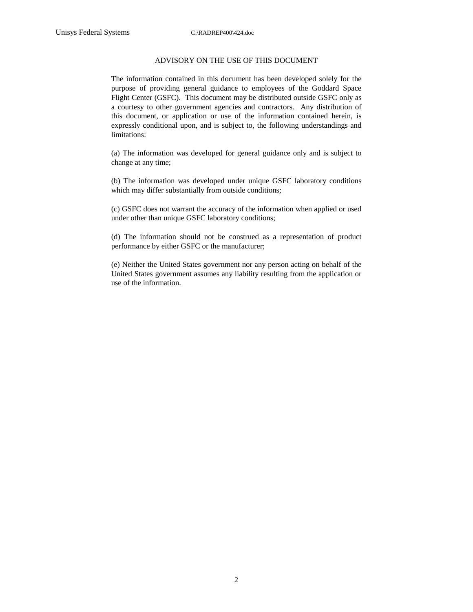#### ADVISORY ON THE USE OF THIS DOCUMENT

The information contained in this document has been developed solely for the purpose of providing general guidance to employees of the Goddard Space Flight Center (GSFC). This document may be distributed outside GSFC only as a courtesy to other government agencies and contractors. Any distribution of this document, or application or use of the information contained herein, is expressly conditional upon, and is subject to, the following understandings and limitations:

(a) The information was developed for general guidance only and is subject to change at any time;

(b) The information was developed under unique GSFC laboratory conditions which may differ substantially from outside conditions;

(c) GSFC does not warrant the accuracy of the information when applied or used under other than unique GSFC laboratory conditions;

(d) The information should not be construed as a representation of product performance by either GSFC or the manufacturer;

(e) Neither the United States government nor any person acting on behalf of the United States government assumes any liability resulting from the application or use of the information.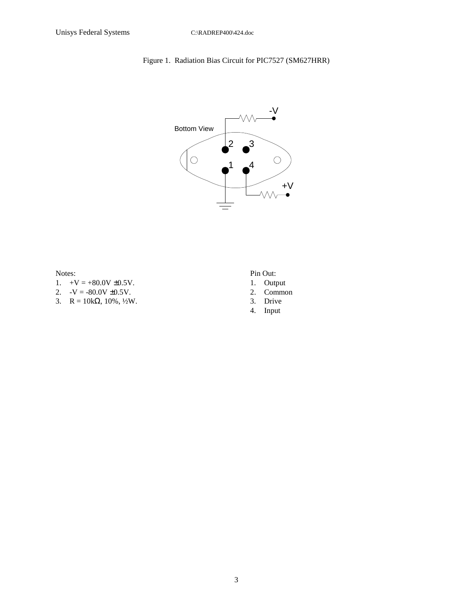### Figure 1. Radiation Bias Circuit for PIC7527 (SM627HRR)



Notes:

- 1.  $+V = +80.0V \pm 0.5V$ .
- 2.  $-V = -80.0V \pm 0.5V$ .
- 3.  $R = 10k\Omega, 10\%, \frac{1}{2}W$ .

Pin Out:

- 1. Output
- 2. Common
- 3. Drive
- 4. Input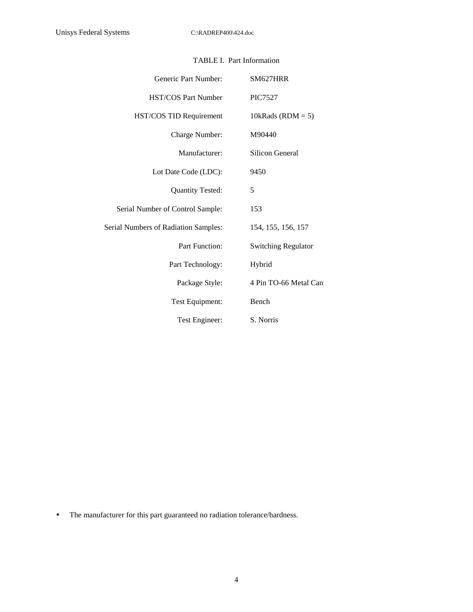| Generic Part Number:                        | SM627HRR                   |
|---------------------------------------------|----------------------------|
| <b>HST/COS Part Number</b>                  | <b>PIC7527</b>             |
| HST/COS TID Requirement                     | 10kRads ( $RDM = 5$ )      |
| Charge Number:                              | M90440                     |
| Manufacturer:                               | Silicon General            |
| Lot Date Code (LDC):                        | 9450                       |
| <b>Quantity Tested:</b>                     | 5                          |
| Serial Number of Control Sample:            | 153                        |
| <b>Serial Numbers of Radiation Samples:</b> | 154, 155, 156, 157         |
| Part Function:                              | <b>Switching Regulator</b> |
| Part Technology:                            | Hybrid                     |
| Package Style:                              | 4 Pin TO-66 Metal Can      |
| Test Equipment:                             | Bench                      |
| Test Engineer:                              | S. Norris                  |

### TABLE I. Part Information

• The manufacturer for this part guaranteed no radiation tolerance/hardness.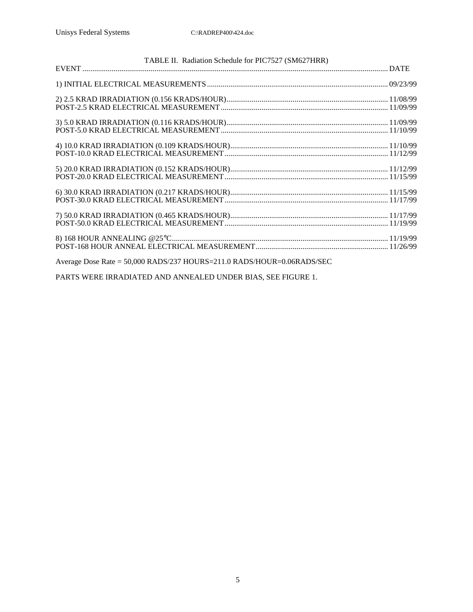| TABLE II. Radiation Schedule for PIC7527 (SM627HRR)                    |  |
|------------------------------------------------------------------------|--|
|                                                                        |  |
|                                                                        |  |
|                                                                        |  |
|                                                                        |  |
|                                                                        |  |
|                                                                        |  |
|                                                                        |  |
|                                                                        |  |
| Average Dose Rate = 50,000 RADS/237 HOURS=211.0 RADS/HOUR=0.06RADS/SEC |  |

PARTS WERE IRRADIATED AND ANNEALED UNDER BIAS, SEE FIGURE 1.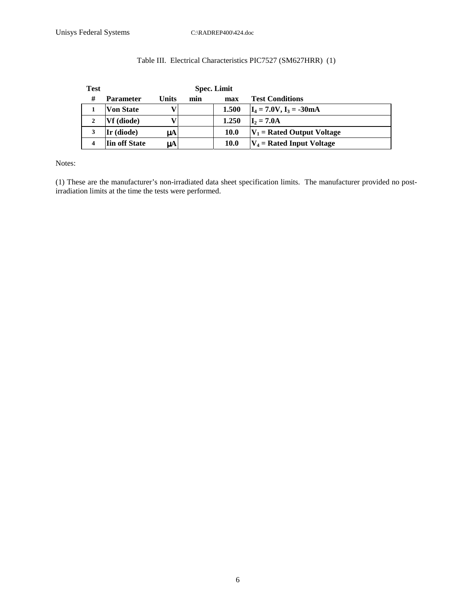| <b>Test</b> |                      |       |     | <b>Spec. Limit</b> |                              |
|-------------|----------------------|-------|-----|--------------------|------------------------------|
| #           | <b>Parameter</b>     | Units | min | max                | <b>Test Conditions</b>       |
|             | <b>Von State</b>     | v     |     | 1.500              | $I_4 = 7.0V$ , $I_3 = -30mA$ |
| 2           | Vf (diode)           | v     |     | 1.250              | $I_2 = 7.0A$                 |
|             | Ir (diode)           | uA    |     | 10.0               | $V_1$ = Rated Output Voltage |
| 4           | <b>Iin off State</b> | μA    |     | 10.0               | $V_4$ = Rated Input Voltage  |

### Table III. Electrical Characteristics PIC7527 (SM627HRR) (1)

Notes:

(1) These are the manufacturer's non-irradiated data sheet specification limits. The manufacturer provided no postirradiation limits at the time the tests were performed.